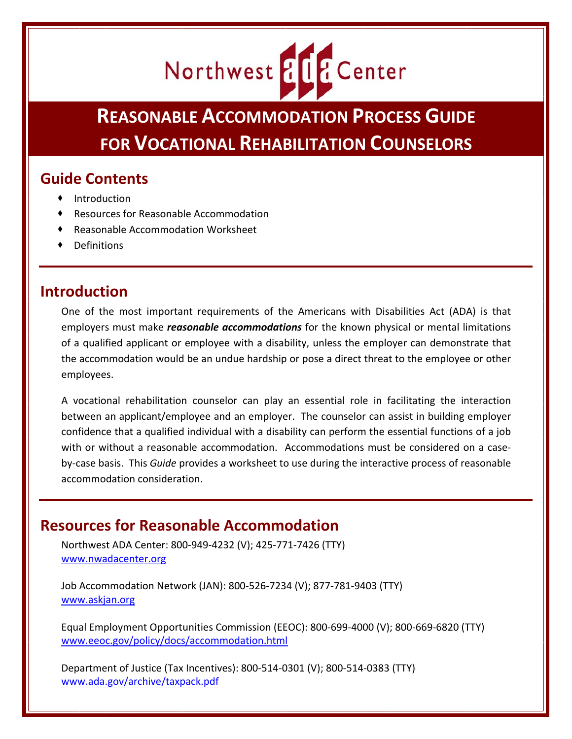# Northwest & LE Center

**REASONABLE ACCOMMODATION PROCESS GUIDE FOR VOCATIONAL REHABILITATION COUNSELORS**

## **Guide Contents**

- $\bullet$  Introduction
- Resources for Reasonable Accommodation
- Reasonable Accommodation Worksheet
- Definitions

## **Introduction**

One of the most important requirements of the Americans with Disabilities Act (ADA) is that employers must make *reasonable accommodations* for the known physical or mental limitations of a qualified applicant or employee with a disability, unless the employer can demonstrate that the accommodation would be an undue hardship or pose a direct threat to the employee or other employees.

A vocational rehabilitation counselor can play an essential role in facilitating the interaction between an applicant/employee and an employer. The counselor can assist in building employer confidence that a qualified individual with a disability can perform the essential functions of a job with or without a reasonable accommodation. Accommodations must be considered on a caseby‐case basis. This *Guide* provides a worksheet to use during the interactive process of reasonable accommodation consideration.

## **Resources for Reasonable Accommodation**

Northwest ADA Center: 800‐949‐4232 (V); 425‐771‐7426 (TTY) www.nwadacenter.org

Job Accommodation Network (JAN): 800‐526‐7234 (V); 877‐781‐9403 (TTY) www.askjan.org

Equal Employment Opportunities Commission (EEOC): 800‐699‐4000 (V); 800‐669‐6820 (TTY) www.eeoc.gov/policy/docs/accommodation.html

Department of Justice (Tax Incentives): 800‐514‐0301 (V); 800‐514‐0383 (TTY) www.ada.gov/archive/taxpack.pdf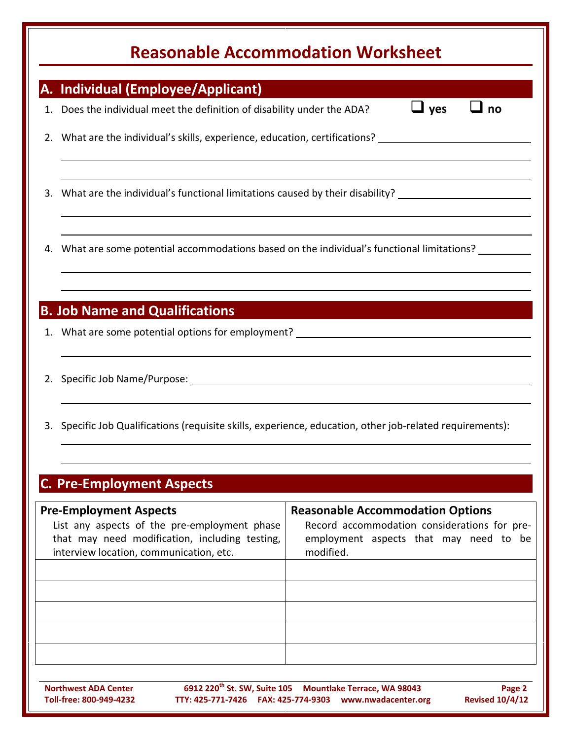# **Reasonable Accommodation Worksheet**

| <b>Reasonable Accommodation Worksheet</b> |                                                                                                                                                                                                                                                                         |                                                                                                                                                |  |  |  |  |
|-------------------------------------------|-------------------------------------------------------------------------------------------------------------------------------------------------------------------------------------------------------------------------------------------------------------------------|------------------------------------------------------------------------------------------------------------------------------------------------|--|--|--|--|
| A.                                        | <b>Individual (Employee/Applicant)</b>                                                                                                                                                                                                                                  |                                                                                                                                                |  |  |  |  |
| 1.                                        | Does the individual meet the definition of disability under the ADA?                                                                                                                                                                                                    | $\sqcup$ yes<br>no                                                                                                                             |  |  |  |  |
|                                           | 2. What are the individual's skills, experience, education, certifications? _______________________                                                                                                                                                                     |                                                                                                                                                |  |  |  |  |
| 3.                                        | What are the individual's functional limitations caused by their disability? _______________________                                                                                                                                                                    |                                                                                                                                                |  |  |  |  |
| 4.                                        | What are some potential accommodations based on the individual's functional limitations?                                                                                                                                                                                |                                                                                                                                                |  |  |  |  |
|                                           | <b>B. Job Name and Qualifications</b><br>1. What are some potential options for employment? 1. The manuscript of the same state of the state of the state of the state of the state of the state of the state of the state of the state of the state of the state of th |                                                                                                                                                |  |  |  |  |
|                                           |                                                                                                                                                                                                                                                                         |                                                                                                                                                |  |  |  |  |
|                                           | 3. Specific Job Qualifications (requisite skills, experience, education, other job-related requirements):                                                                                                                                                               |                                                                                                                                                |  |  |  |  |
|                                           | <b>C. Pre-Employment Aspects</b>                                                                                                                                                                                                                                        |                                                                                                                                                |  |  |  |  |
|                                           | <b>Pre-Employment Aspects</b><br>List any aspects of the pre-employment phase<br>that may need modification, including testing,<br>interview location, communication, etc.                                                                                              | <b>Reasonable Accommodation Options</b><br>Record accommodation considerations for pre-<br>employment aspects that may need to be<br>modified. |  |  |  |  |
|                                           |                                                                                                                                                                                                                                                                         |                                                                                                                                                |  |  |  |  |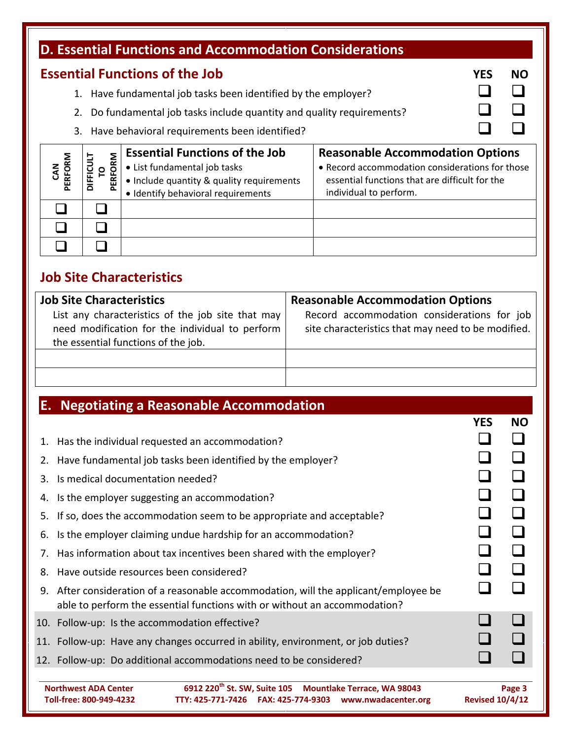| D. Essential Functions and Accommodation Considerations                   |                             |                                                                                  |                                                 |            |           |
|---------------------------------------------------------------------------|-----------------------------|----------------------------------------------------------------------------------|-------------------------------------------------|------------|-----------|
| <b>Essential Functions of the Job</b>                                     |                             |                                                                                  |                                                 | <b>YES</b> | <b>NO</b> |
| Have fundamental job tasks been identified by the employer?               |                             |                                                                                  |                                                 |            |           |
| Do fundamental job tasks include quantity and quality requirements?<br>2. |                             |                                                                                  |                                                 |            |           |
| 3. Have behavioral requirements been identified?                          |                             |                                                                                  |                                                 |            |           |
|                                                                           |                             | <b>Essential Functions of the Job</b><br><b>Reasonable Accommodation Options</b> |                                                 |            |           |
|                                                                           |                             |                                                                                  |                                                 |            |           |
|                                                                           | ္ဝ                          | • List fundamental job tasks                                                     | • Record accommodation considerations for those |            |           |
| PERFORM                                                                   | PERFORM<br><b>DIFFICULT</b> | • Include quantity & quality requirements                                        | essential functions that are difficult for the  |            |           |
|                                                                           |                             | · Identify behavioral requirements                                               | individual to perform.                          |            |           |
|                                                                           |                             |                                                                                  |                                                 |            |           |
|                                                                           |                             |                                                                                  |                                                 |            |           |

## **Job Site Characteristics**

| <b>Job Site Characteristics</b>                                                                                                             | <b>Reasonable Accommodation Options</b>                                                           |  |  |
|---------------------------------------------------------------------------------------------------------------------------------------------|---------------------------------------------------------------------------------------------------|--|--|
| List any characteristics of the job site that may<br>need modification for the individual to perform<br>the essential functions of the job. | Record accommodation considerations for job<br>site characteristics that may need to be modified. |  |  |
|                                                                                                                                             |                                                                                                   |  |  |
|                                                                                                                                             |                                                                                                   |  |  |

|                                                        | <b>E. Negotiating a Reasonable Accommodation</b>                                                                                                               |            |           |  |  |
|--------------------------------------------------------|----------------------------------------------------------------------------------------------------------------------------------------------------------------|------------|-----------|--|--|
|                                                        |                                                                                                                                                                | <b>YES</b> | <b>NO</b> |  |  |
| 1.                                                     | Has the individual requested an accommodation?                                                                                                                 |            |           |  |  |
|                                                        | 2. Have fundamental job tasks been identified by the employer?                                                                                                 |            |           |  |  |
| 3.                                                     | Is medical documentation needed?                                                                                                                               |            |           |  |  |
| 4.                                                     | Is the employer suggesting an accommodation?                                                                                                                   |            |           |  |  |
| 5.                                                     | If so, does the accommodation seem to be appropriate and acceptable?                                                                                           |            |           |  |  |
| 6.                                                     | Is the employer claiming undue hardship for an accommodation?                                                                                                  |            |           |  |  |
| 7.                                                     | Has information about tax incentives been shared with the employer?                                                                                            |            |           |  |  |
| 8.                                                     | Have outside resources been considered?                                                                                                                        |            |           |  |  |
| 9.                                                     | After consideration of a reasonable accommodation, will the applicant/employee be<br>able to perform the essential functions with or without an accommodation? |            |           |  |  |
|                                                        | 10. Follow-up: Is the accommodation effective?                                                                                                                 |            |           |  |  |
|                                                        | 11. Follow-up: Have any changes occurred in ability, environment, or job duties?                                                                               |            |           |  |  |
|                                                        | 12. Follow-up: Do additional accommodations need to be considered?                                                                                             |            |           |  |  |
| <b>Northwest ADA Center</b><br>Toll-free: 800-949-4232 | <b>Revised 10/4/12</b>                                                                                                                                         | Page 3     |           |  |  |